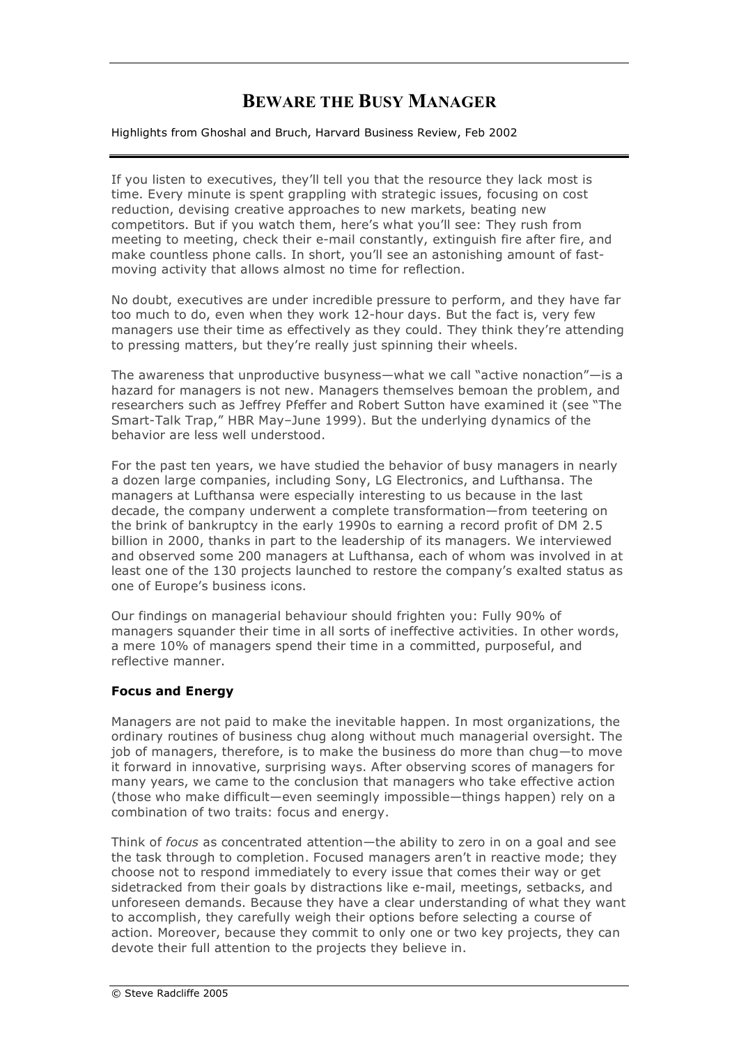# **BEWARE THE BUSY MANAGER**

Highlights from Ghoshal and Bruch, Harvard Business Review, Feb 2002

If you listen to executives, they'll tell you that the resource they lack most is time. Every minute is spent grappling with strategic issues, focusing on cost reduction, devising creative approaches to new markets, beating new competitors. But if you watch them, here's what you'll see: They rush from meeting to meeting, check their e-mail constantly, extinguish fire after fire, and make countless phone calls. In short, you'll see an astonishing amount of fastmoving activity that allows almost no time for reflection.

No doubt, executives are under incredible pressure to perform, and they have far too much to do, even when they work 12-hour days. But the fact is, very few managers use their time as effectively as they could. They think they're attending to pressing matters, but they're really just spinning their wheels.

The awareness that unproductive busyness—what we call "active nonaction"—is a hazard for managers is not new. Managers themselves bemoan the problem, and researchers such as Jeffrey Pfeffer and Robert Sutton have examined it (see "The Smart-Talk Trap," HBR May–June 1999). But the underlying dynamics of the behavior are less well understood.

For the past ten years, we have studied the behavior of busy managers in nearly a dozen large companies, including Sony, LG Electronics, and Lufthansa. The managers at Lufthansa were especially interesting to us because in the last decade, the company underwent a complete transformation—from teetering on the brink of bankruptcy in the early 1990s to earning a record profit of DM 2.5 billion in 2000, thanks in part to the leadership of its managers. We interviewed and observed some 200 managers at Lufthansa, each of whom was involved in at least one of the 130 projects launched to restore the company's exalted status as one of Europe's business icons.

Our findings on managerial behaviour should frighten you: Fully 90% of managers squander their time in all sorts of ineffective activities. In other words, a mere 10% of managers spend their time in a committed, purposeful, and reflective manner.

## **Focus and Energy**

Managers are not paid to make the inevitable happen. In most organizations, the ordinary routines of business chug along without much managerial oversight. The job of managers, therefore, is to make the business do more than chug—to move it forward in innovative, surprising ways. After observing scores of managers for many years, we came to the conclusion that managers who take effective action (those who make difficult—even seemingly impossible—things happen) rely on a combination of two traits: focus and energy.

Think of *focus* as concentrated attention—the ability to zero in on a goal and see the task through to completion. Focused managers aren't in reactive mode; they choose not to respond immediately to every issue that comes their way or get sidetracked from their goals by distractions like e-mail, meetings, setbacks, and unforeseen demands. Because they have a clear understanding of what they want to accomplish, they carefully weigh their options before selecting a course of action. Moreover, because they commit to only one or two key projects, they can devote their full attention to the projects they believe in.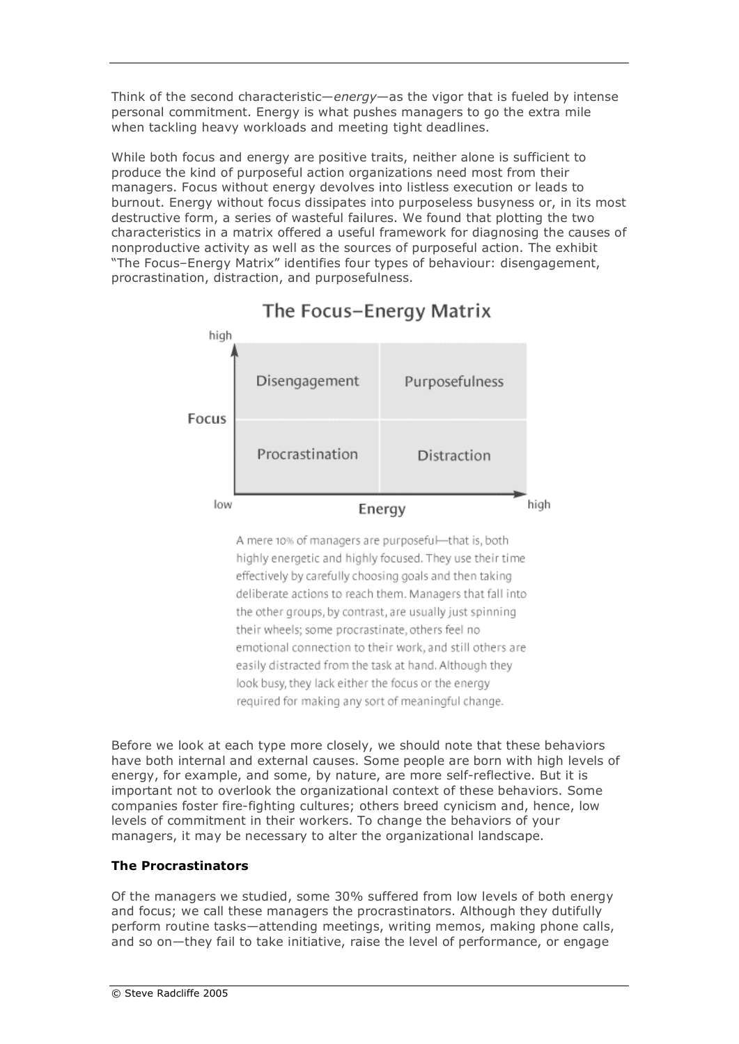Think of the second characteristic—*energy*—as the vigor that is fueled by intense personal commitment. Energy is what pushes managers to go the extra mile when tackling heavy workloads and meeting tight deadlines.

While both focus and energy are positive traits, neither alone is sufficient to produce the kind of purposeful action organizations need most from their managers. Focus without energy devolves into listless execution or leads to burnout. Energy without focus dissipates into purposeless busyness or, in its most destructive form, a series of wasteful failures. We found that plotting the two characteristics in a matrix offered a useful framework for diagnosing the causes of nonproductive activity as well as the sources of purposeful action. The exhibit "The Focus–Energy Matrix" identifies four types of behaviour: disengagement, procrastination, distraction, and purposefulness.



highly energetic and highly focused. They use their time effectively by carefully choosing goals and then taking deliberate actions to reach them. Managers that fall into the other groups, by contrast, are usually just spinning their wheels; some procrastinate, others feel no emotional connection to their work, and still others are easily distracted from the task at hand. Although they look busy, they lack either the focus or the energy required for making any sort of meaningful change.

Before we look at each type more closely, we should note that these behaviors have both internal and external causes. Some people are born with high levels of energy, for example, and some, by nature, are more self-reflective. But it is important not to overlook the organizational context of these behaviors. Some companies foster fire-fighting cultures; others breed cynicism and, hence, low levels of commitment in their workers. To change the behaviors of your managers, it may be necessary to alter the organizational landscape.

## **The Procrastinators**

Of the managers we studied, some 30% suffered from low levels of both energy and focus; we call these managers the procrastinators. Although they dutifully perform routine tasks—attending meetings, writing memos, making phone calls, and so on—they fail to take initiative, raise the level of performance, or engage